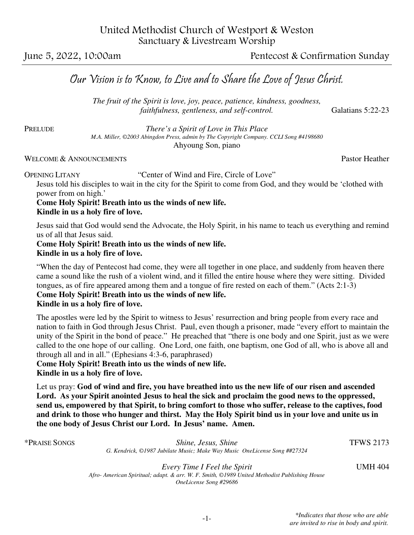June 5, 2022, 10:00am Pentecost & Confirmation Sunday

# Our Vision is to Know, to Live and to Share the Love of Jesus Christ.

 *The fruit of the Spirit is love, joy, peace, patience, kindness, goodness, faithfulness, gentleness, and self-control.* **Galatians 5:22-23** 

PRELUDE *There's a Spirit of Love in This Place M.A. Miller, ©2003 Abingdon Press, admin by The Copyright Company. CCLI Song #4198680* Ahyoung Son, piano

#### WELCOME & ANNOUNCEMENTS **Pastor Heather** Pastor Heather

OPENING LITANY "Center of Wind and Fire, Circle of Love"

Jesus told his disciples to wait in the city for the Spirit to come from God, and they would be 'clothed with power from on high.'

# **Come Holy Spirit! Breath into us the winds of new life.**

**Kindle in us a holy fire of love.** 

Jesus said that God would send the Advocate, the Holy Spirit, in his name to teach us everything and remind us of all that Jesus said.

#### **Come Holy Spirit! Breath into us the winds of new life. Kindle in us a holy fire of love.**

"When the day of Pentecost had come, they were all together in one place, and suddenly from heaven there came a sound like the rush of a violent wind, and it filled the entire house where they were sitting. Divided tongues, as of fire appeared among them and a tongue of fire rested on each of them." (Acts 2:1-3)

## **Come Holy Spirit! Breath into us the winds of new life.**

### **Kindle in us a holy fire of love.**

The apostles were led by the Spirit to witness to Jesus' resurrection and bring people from every race and nation to faith in God through Jesus Christ. Paul, even though a prisoner, made "every effort to maintain the unity of the Spirit in the bond of peace." He preached that "there is one body and one Spirit, just as we were called to the one hope of our calling. One Lord, one faith, one baptism, one God of all, who is above all and through all and in all." (Ephesians 4:3-6, paraphrased)

### **Come Holy Spirit! Breath into us the winds of new life.**

**Kindle in us a holy fire of love.** 

Let us pray: **God of wind and fire, you have breathed into us the new life of our risen and ascended Lord. As your Spirit anointed Jesus to heal the sick and proclaim the good news to the oppressed, send us, empowered by that Spirit, to bring comfort to those who suffer, release to the captives, food and drink to those who hunger and thirst. May the Holy Spirit bind us in your love and unite us in the one body of Jesus Christ our Lord. In Jesus' name. Amen.** 

\*PRAISE SONGS *Shine, Jesus, Shine* TFWS 2173 *G. Kendrick, ©1987 Jubilate Music; Make Way Music OneLicense Song ##27324* 

> *Every Time I Feel the Spirit* UMH 404 *Afro- American Spiritual; adapt. & arr. W. F. Smith, ©1989 United Methodist Publishing House OneLicense Song #29686*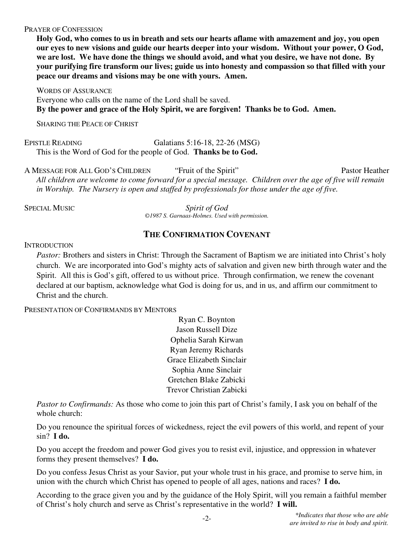#### PRAYER OF CONFESSION

**Holy God, who comes to us in breath and sets our hearts aflame with amazement and joy, you open our eyes to new visions and guide our hearts deeper into your wisdom. Without your power, O God, we are lost. We have done the things we should avoid, and what you desire, we have not done. By your purifying fire transform our lives; guide us into honesty and compassion so that filled with your peace our dreams and visions may be one with yours. Amen.** 

WORDS OF ASSURANCE Everyone who calls on the name of the Lord shall be saved. **By the power and grace of the Holy Spirit, we are forgiven! Thanks be to God. Amen.** 

SHARING THE PEACE OF CHRIST

EPISTLE READING Galatians 5:16-18, 22-26 (MSG) This is the Word of God for the people of God. **Thanks be to God.**

A MESSAGE FOR ALL GOD'S CHILDREN "Fruit of the Spirit" Pastor Heather *All children are welcome to come forward for a special message. Children over the age of five will remain in Worship. The Nursery is open and staffed by professionals for those under the age of five.* 

SPECIAL MUSIC *Spirit of God ©1987 S. Garnaas-Holmes. Used with permission.*

## **THE CONFIRMATION COVENANT**

#### **INTRODUCTION**

*Pastor:* Brothers and sisters in Christ: Through the Sacrament of Baptism we are initiated into Christ's holy church. We are incorporated into God's mighty acts of salvation and given new birth through water and the Spirit. All this is God's gift, offered to us without price. Through confirmation, we renew the covenant declared at our baptism, acknowledge what God is doing for us, and in us, and affirm our commitment to Christ and the church.

PRESENTATION OF CONFIRMANDS BY MENTORS

Ryan C. Boynton Jason Russell Dize Ophelia Sarah Kirwan Ryan Jeremy Richards Grace Elizabeth Sinclair Sophia Anne Sinclair Gretchen Blake Zabicki Trevor Christian Zabicki

*Pastor to Confirmands:* As those who come to join this part of Christ's family, I ask you on behalf of the whole church:

Do you renounce the spiritual forces of wickedness, reject the evil powers of this world, and repent of your sin? **I do.**

Do you accept the freedom and power God gives you to resist evil, injustice, and oppression in whatever forms they present themselves? **I do.**

Do you confess Jesus Christ as your Savior, put your whole trust in his grace, and promise to serve him, in union with the church which Christ has opened to people of all ages, nations and races? **I do.**

According to the grace given you and by the guidance of the Holy Spirit, will you remain a faithful member of Christ's holy church and serve as Christ's representative in the world? **I will.**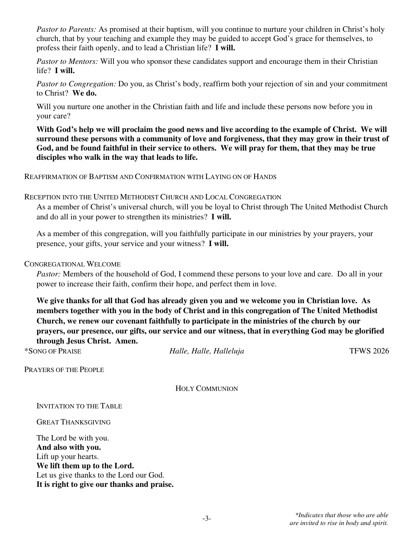*Pastor to Parents:* As promised at their baptism, will you continue to nurture your children in Christ's holy church, that by your teaching and example they may be guided to accept God's grace for themselves, to profess their faith openly, and to lead a Christian life? **I will.**

*Pastor to Mentors:* Will you who sponsor these candidates support and encourage them in their Christian life? **I will.**

*Pastor to Congregation:* Do you, as Christ's body, reaffirm both your rejection of sin and your commitment to Christ? **We do.**

Will you nurture one another in the Christian faith and life and include these persons now before you in your care?

**With God's help we will proclaim the good news and live according to the example of Christ. We will surround these persons with a community of love and forgiveness, that they may grow in their trust of God, and be found faithful in their service to others. We will pray for them, that they may be true disciples who walk in the way that leads to life.** 

REAFFIRMATION OF BAPTISM AND CONFIRMATION WITH LAYING ON OF HANDS

#### RECEPTION INTO THE UNITED METHODIST CHURCH AND LOCAL CONGREGATION

As a member of Christ's universal church, will you be loyal to Christ through The United Methodist Church and do all in your power to strengthen its ministries? **I will.**

As a member of this congregation, will you faithfully participate in our ministries by your prayers, your presence, your gifts, your service and your witness? **I will.**

#### CONGREGATIONAL WELCOME

*Pastor:* Members of the household of God, I commend these persons to your love and care. Do all in your power to increase their faith, confirm their hope, and perfect them in love.

**We give thanks for all that God has already given you and we welcome you in Christian love. As members together with you in the body of Christ and in this congregation of The United Methodist Church, we renew our covenant faithfully to participate in the ministries of the church by our prayers, our presence, our gifts, our service and our witness, that in everything God may be glorified through Jesus Christ. Amen.** 

\*SONG OF PRAISE *Halle, Halle, Halleluja* TFWS 2026

PRAYERS OF THE PEOPLE

HOLY COMMUNION

INVITATION TO THE TABLE

GREAT THANKSGIVING

The Lord be with you. **And also with you.**  Lift up your hearts. **We lift them up to the Lord.**  Let us give thanks to the Lord our God. **It is right to give our thanks and praise.**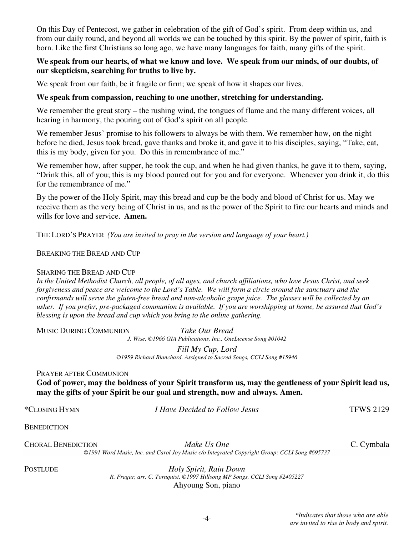On this Day of Pentecost, we gather in celebration of the gift of God's spirit. From deep within us, and from our daily round, and beyond all worlds we can be touched by this spirit. By the power of spirit, faith is born. Like the first Christians so long ago, we have many languages for faith, many gifts of the spirit.

#### We speak from our hearts, of what we know and love. We speak from our minds, of our doubts, of **our skepticism, searching for truths to live by.**

We speak from our faith, be it fragile or firm; we speak of how it shapes our lives.

#### **We speak from compassion, reaching to one another, stretching for understanding.**

We remember the great story – the rushing wind, the tongues of flame and the many different voices, all hearing in harmony, the pouring out of God's spirit on all people.

We remember Jesus' promise to his followers to always be with them. We remember how, on the night before he died, Jesus took bread, gave thanks and broke it, and gave it to his disciples, saying, "Take, eat, this is my body, given for you. Do this in remembrance of me."

We remember how, after supper, he took the cup, and when he had given thanks, he gave it to them, saying, "Drink this, all of you; this is my blood poured out for you and for everyone. Whenever you drink it, do this for the remembrance of me."

By the power of the Holy Spirit, may this bread and cup be the body and blood of Christ for us. May we receive them as the very being of Christ in us, and as the power of the Spirit to fire our hearts and minds and wills for love and service. **Amen.**

THE LORD'S PRAYER *(You are invited to pray in the version and language of your heart.)* 

#### BREAKING THE BREAD AND CUP

#### SHARING THE BREAD AND CUP

*In the United Methodist Church, all people, of all ages, and church affiliations, who love Jesus Christ, and seek forgiveness and peace are welcome to the Lord's Table. We will form a circle around the sanctuary and the confirmands will serve the gluten-free bread and non-alcoholic grape juice. The glasses will be collected by an usher. If you prefer, pre-packaged communion is available. If you are worshipping at home, be assured that God's blessing is upon the bread and cup which you bring to the online gathering.* 

MUSIC DURING COMMUNION *Take Our Bread* 

*J. Wise, ©1966 GIA Publications, Inc., OneLicense Song #01042* 

*Fill My Cup, Lord ©1959 Richard Blanchard. Assigned to Sacred Songs, CCLI Song #15946* 

#### PRAYER AFTER COMMUNION

**God of power, may the boldness of your Spirit transform us, may the gentleness of your Spirit lead us, may the gifts of your Spirit be our goal and strength, now and always. Amen.** 

\*CLOSING HYMN *I Have Decided to Follow Jesus* TFWS 2129

**BENEDICTION** 

CHORAL BENEDICTION *Make Us One* C. Cymbala *©1991 Word Music, Inc. and Carol Joy Music c/o Integrated Copyright Group; CCLI Song #695737* 

POSTLUDE *Holy Spirit, Rain Down R. Fragar, arr. C. Tornquist, ©1997 Hillsong MP Songs, CCLI Song #2405227* Ahyoung Son, piano